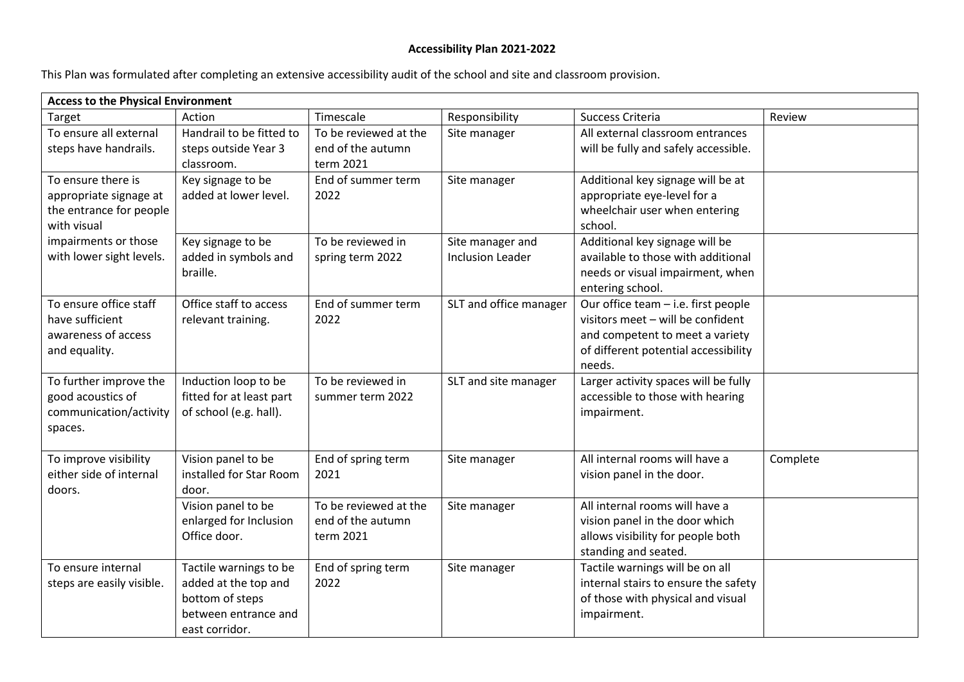## **Accessibility Plan 2021-2022**

This Plan was formulated after completing an extensive accessibility audit of the school and site and classroom provision.

| <b>Access to the Physical Environment</b>                                                                                                  |                                                                                                             |                                                         |                                             |                                                                                                                                                               |          |  |  |  |
|--------------------------------------------------------------------------------------------------------------------------------------------|-------------------------------------------------------------------------------------------------------------|---------------------------------------------------------|---------------------------------------------|---------------------------------------------------------------------------------------------------------------------------------------------------------------|----------|--|--|--|
| Target                                                                                                                                     | Action                                                                                                      | Timescale                                               | Responsibility                              | Success Criteria                                                                                                                                              | Review   |  |  |  |
| To ensure all external<br>steps have handrails.                                                                                            | Handrail to be fitted to<br>steps outside Year 3<br>classroom.                                              | To be reviewed at the<br>end of the autumn<br>term 2021 | Site manager                                | All external classroom entrances<br>will be fully and safely accessible.                                                                                      |          |  |  |  |
| To ensure there is<br>appropriate signage at<br>the entrance for people<br>with visual<br>impairments or those<br>with lower sight levels. | Key signage to be<br>added at lower level.                                                                  | End of summer term<br>2022                              | Site manager                                | Additional key signage will be at<br>appropriate eye-level for a<br>wheelchair user when entering<br>school.                                                  |          |  |  |  |
|                                                                                                                                            | Key signage to be<br>added in symbols and<br>braille.                                                       | To be reviewed in<br>spring term 2022                   | Site manager and<br><b>Inclusion Leader</b> | Additional key signage will be<br>available to those with additional<br>needs or visual impairment, when<br>entering school.                                  |          |  |  |  |
| To ensure office staff<br>have sufficient<br>awareness of access<br>and equality.                                                          | Office staff to access<br>relevant training.                                                                | End of summer term<br>2022                              | SLT and office manager                      | Our office team - i.e. first people<br>visitors meet - will be confident<br>and competent to meet a variety<br>of different potential accessibility<br>needs. |          |  |  |  |
| To further improve the<br>good acoustics of<br>communication/activity<br>spaces.                                                           | Induction loop to be<br>fitted for at least part<br>of school (e.g. hall).                                  | To be reviewed in<br>summer term 2022                   | SLT and site manager                        | Larger activity spaces will be fully<br>accessible to those with hearing<br>impairment.                                                                       |          |  |  |  |
| To improve visibility<br>either side of internal<br>doors.                                                                                 | Vision panel to be<br>installed for Star Room<br>door.                                                      | End of spring term<br>2021                              | Site manager                                | All internal rooms will have a<br>vision panel in the door.                                                                                                   | Complete |  |  |  |
|                                                                                                                                            | Vision panel to be<br>enlarged for Inclusion<br>Office door.                                                | To be reviewed at the<br>end of the autumn<br>term 2021 | Site manager                                | All internal rooms will have a<br>vision panel in the door which<br>allows visibility for people both<br>standing and seated.                                 |          |  |  |  |
| To ensure internal<br>steps are easily visible.                                                                                            | Tactile warnings to be<br>added at the top and<br>bottom of steps<br>between entrance and<br>east corridor. | End of spring term<br>2022                              | Site manager                                | Tactile warnings will be on all<br>internal stairs to ensure the safety<br>of those with physical and visual<br>impairment.                                   |          |  |  |  |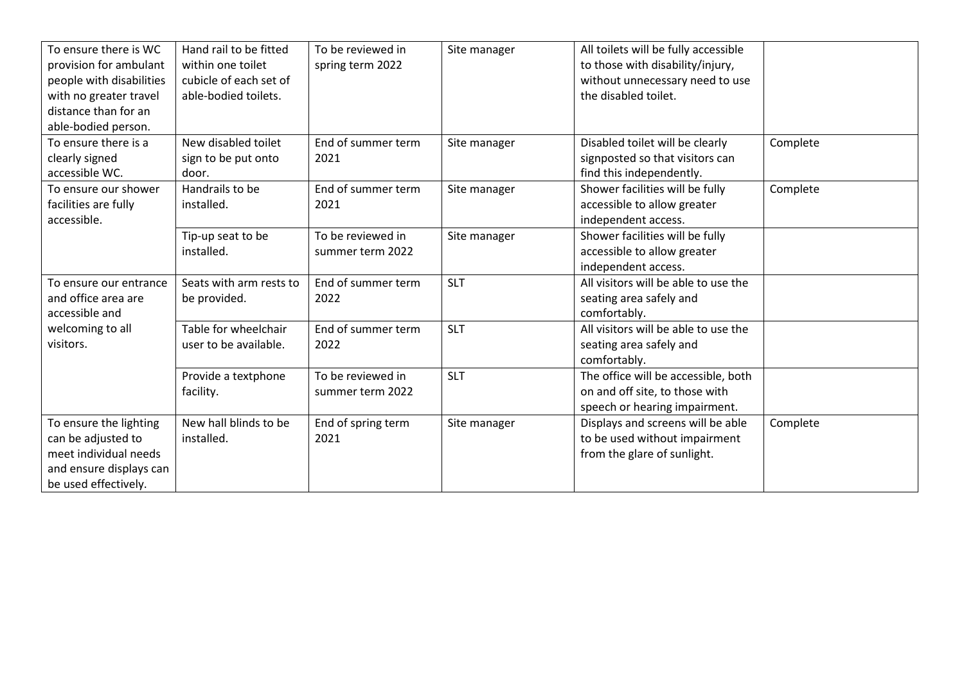| To ensure there is WC<br>provision for ambulant<br>people with disabilities<br>with no greater travel<br>distance than for an<br>able-bodied person. | Hand rail to be fitted<br>within one toilet<br>cubicle of each set of<br>able-bodied toilets. | To be reviewed in<br>spring term 2022 | Site manager | All toilets will be fully accessible<br>to those with disability/injury,<br>without unnecessary need to use<br>the disabled toilet. |          |
|------------------------------------------------------------------------------------------------------------------------------------------------------|-----------------------------------------------------------------------------------------------|---------------------------------------|--------------|-------------------------------------------------------------------------------------------------------------------------------------|----------|
| To ensure there is a<br>clearly signed<br>accessible WC.                                                                                             | New disabled toilet<br>sign to be put onto<br>door.                                           | End of summer term<br>2021            | Site manager | Disabled toilet will be clearly<br>signposted so that visitors can<br>find this independently.                                      | Complete |
| To ensure our shower<br>facilities are fully<br>accessible.                                                                                          | Handrails to be<br>installed.                                                                 | End of summer term<br>2021            | Site manager | Shower facilities will be fully<br>accessible to allow greater<br>independent access.                                               | Complete |
|                                                                                                                                                      | Tip-up seat to be<br>installed.                                                               | To be reviewed in<br>summer term 2022 | Site manager | Shower facilities will be fully<br>accessible to allow greater<br>independent access.                                               |          |
| To ensure our entrance<br>and office area are<br>accessible and                                                                                      | Seats with arm rests to<br>be provided.                                                       | End of summer term<br>2022            | <b>SLT</b>   | All visitors will be able to use the<br>seating area safely and<br>comfortably.                                                     |          |
| welcoming to all<br>visitors.                                                                                                                        | Table for wheelchair<br>user to be available.                                                 | End of summer term<br>2022            | <b>SLT</b>   | All visitors will be able to use the<br>seating area safely and<br>comfortably.                                                     |          |
|                                                                                                                                                      | Provide a textphone<br>facility.                                                              | To be reviewed in<br>summer term 2022 | <b>SLT</b>   | The office will be accessible, both<br>on and off site, to those with<br>speech or hearing impairment.                              |          |
| To ensure the lighting<br>can be adjusted to<br>meet individual needs<br>and ensure displays can<br>be used effectively.                             | New hall blinds to be<br>installed.                                                           | End of spring term<br>2021            | Site manager | Displays and screens will be able<br>to be used without impairment<br>from the glare of sunlight.                                   | Complete |